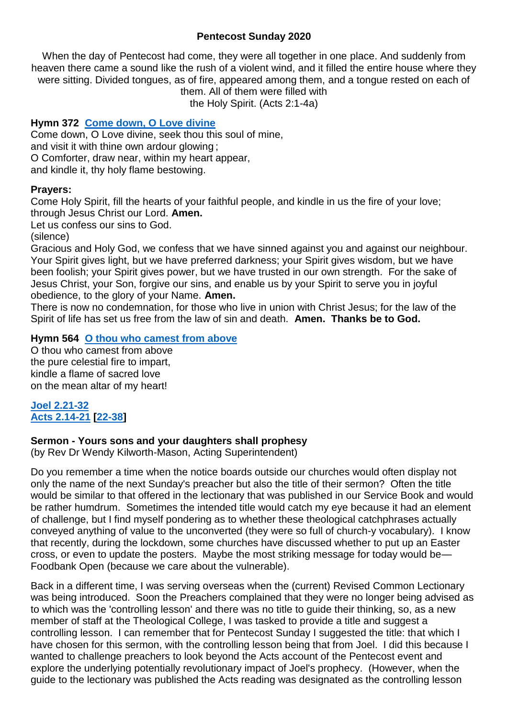#### **Pentecost Sunday 2020**

When the day of Pentecost had come, they were all together in one place. And suddenly from heaven there came a sound like the rush of a violent wind, and it filled the entire house where they were sitting. Divided tongues, as of fire, appeared among them, and a tongue rested on each of them. All of them were filled with

the Holy Spirit. (Acts 2:1-4a)

# **Hymn 372 [Come down, O Love divine](https://www.youtube.com/watch?v=fIvKDgktutI)**

Come down, O Love divine, seek thou this soul of mine, and visit it with thine own ardour glowing ; O Comforter, draw near, within my heart appear, and kindle it, thy holy flame bestowing.

#### **Prayers:**

Come Holy Spirit, fill the hearts of your faithful people, and kindle in us the fire of your love; through Jesus Christ our Lord. **Amen.**

Let us confess our sins to God.

(silence)

Gracious and Holy God, we confess that we have sinned against you and against our neighbour. Your Spirit gives light, but we have preferred darkness; your Spirit gives wisdom, but we have been foolish; your Spirit gives power, but we have trusted in our own strength. For the sake of Jesus Christ, your Son, forgive our sins, and enable us by your Spirit to serve you in joyful obedience, to the glory of your Name. **Amen.**

There is now no condemnation, for those who live in union with Christ Jesus; for the law of the Spirit of life has set us free from the law of sin and death. **Amen. Thanks be to God.**

#### **Hymn 564 [O thou who camest from above](https://www.youtube.com/watch?v=R3UYybc7Xa0)**

O thou who camest from above the pure celestial fire to impart, kindle a flame of sacred love on the mean altar of my heart!

#### **[Joel 2.21-32](https://www.biblegateway.com/passage/?search=Joel+2.21-32&version=NIV) [Acts 2.14-21](https://www.biblegateway.com/passage/?search=Acts+2.14-21+&version=NIV) [\[22-38\]](https://www.biblegateway.com/passage/?search=Acts+2.22-38&version=NIV)**

# **Sermon - Yours sons and your daughters shall prophesy**

(by Rev Dr Wendy Kilworth-Mason, Acting Superintendent)

Do you remember a time when the notice boards outside our churches would often display not only the name of the next Sunday's preacher but also the title of their sermon? Often the title would be similar to that offered in the lectionary that was published in our Service Book and would be rather humdrum. Sometimes the intended title would catch my eye because it had an element of challenge, but I find myself pondering as to whether these theological catchphrases actually conveyed anything of value to the unconverted (they were so full of church-y vocabulary). I know that recently, during the lockdown, some churches have discussed whether to put up an Easter cross, or even to update the posters. Maybe the most striking message for today would be— Foodbank Open (because we care about the vulnerable).

Back in a different time, I was serving overseas when the (current) Revised Common Lectionary was being introduced. Soon the Preachers complained that they were no longer being advised as to which was the 'controlling lesson' and there was no title to guide their thinking, so, as a new member of staff at the Theological College, I was tasked to provide a title and suggest a controlling lesson. I can remember that for Pentecost Sunday I suggested the title: that which I have chosen for this sermon, with the controlling lesson being that from Joel. I did this because I wanted to challenge preachers to look beyond the Acts account of the Pentecost event and explore the underlying potentially revolutionary impact of Joel's prophecy. (However, when the guide to the lectionary was published the Acts reading was designated as the controlling lesson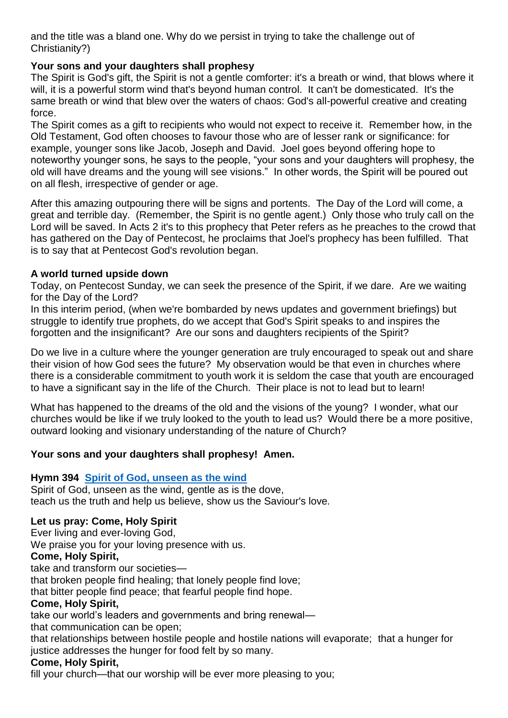and the title was a bland one. Why do we persist in trying to take the challenge out of Christianity?)

# **Your sons and your daughters shall prophesy**

The Spirit is God's gift, the Spirit is not a gentle comforter: it's a breath or wind, that blows where it will, it is a powerful storm wind that's beyond human control. It can't be domesticated. It's the same breath or wind that blew over the waters of chaos: God's all-powerful creative and creating force.

The Spirit comes as a gift to recipients who would not expect to receive it. Remember how, in the Old Testament, God often chooses to favour those who are of lesser rank or significance: for example, younger sons like Jacob, Joseph and David. Joel goes beyond offering hope to noteworthy younger sons, he says to the people, "your sons and your daughters will prophesy, the old will have dreams and the young will see visions." In other words, the Spirit will be poured out on all flesh, irrespective of gender or age.

After this amazing outpouring there will be signs and portents. The Day of the Lord will come, a great and terrible day. (Remember, the Spirit is no gentle agent.) Only those who truly call on the Lord will be saved. In Acts 2 it's to this prophecy that Peter refers as he preaches to the crowd that has gathered on the Day of Pentecost, he proclaims that Joel's prophecy has been fulfilled. That is to say that at Pentecost God's revolution began.

# **A world turned upside down**

Today, on Pentecost Sunday, we can seek the presence of the Spirit, if we dare. Are we waiting for the Day of the Lord?

In this interim period, (when we're bombarded by news updates and government briefings) but struggle to identify true prophets, do we accept that God's Spirit speaks to and inspires the forgotten and the insignificant? Are our sons and daughters recipients of the Spirit?

Do we live in a culture where the younger generation are truly encouraged to speak out and share their vision of how God sees the future? My observation would be that even in churches where there is a considerable commitment to youth work it is seldom the case that youth are encouraged to have a significant say in the life of the Church. Their place is not to lead but to learn!

What has happened to the dreams of the old and the visions of the young? I wonder, what our churches would be like if we truly looked to the youth to lead us? Would there be a more positive, outward looking and visionary understanding of the nature of Church?

# **Your sons and your daughters shall prophesy! Amen.**

# **Hymn 394 [Spirit of God, unseen as the wind](https://www.youtube.com/watch?v=dy8AZ46GKqc)**

Spirit of God, unseen as the wind, gentle as is the dove, teach us the truth and help us believe, show us the Saviour's love*.*

# **Let us pray: Come, Holy Spirit**

Ever living and ever-loving God,

We praise you for your loving presence with us.

# **Come, Holy Spirit,**

take and transform our societies—

that broken people find healing; that lonely people find love;

that bitter people find peace; that fearful people find hope.

# **Come, Holy Spirit,**

take our world's leaders and governments and bring renewal—

that communication can be open;

that relationships between hostile people and hostile nations will evaporate; that a hunger for justice addresses the hunger for food felt by so many.

# **Come, Holy Spirit,**

fill your church—that our worship will be ever more pleasing to you;